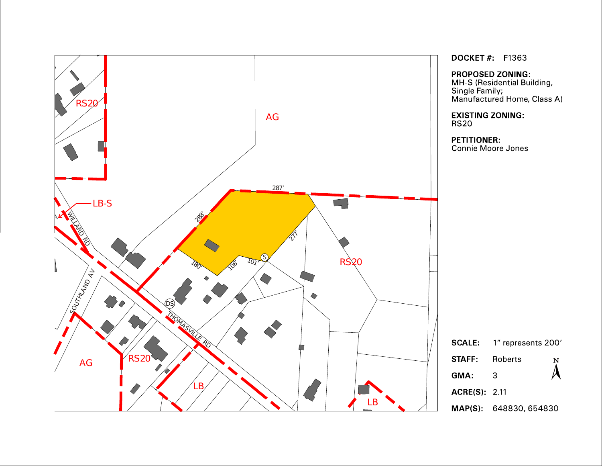

**DOCKET#** F1363

**PROPOSED ZONING:** 

MH-S (Residential Building,<br>Single Family;<br>Manufactured Home, Class A)

**EXISTING ZONING: RS20** 

**PETITIONER:** 

Connie Moore Jones

|                     | <b>SCALE:</b> 1" represents 200' |                             |  |
|---------------------|----------------------------------|-----------------------------|--|
| <b>STAFF</b>        | Roberts                          | $\bm{\lambda}^{\texttt{N}}$ |  |
| GMA:                | З                                |                             |  |
| <b>ACRE(S)</b> 2.11 |                                  |                             |  |
|                     | <b>MAP(S): 648830, 654830</b>    |                             |  |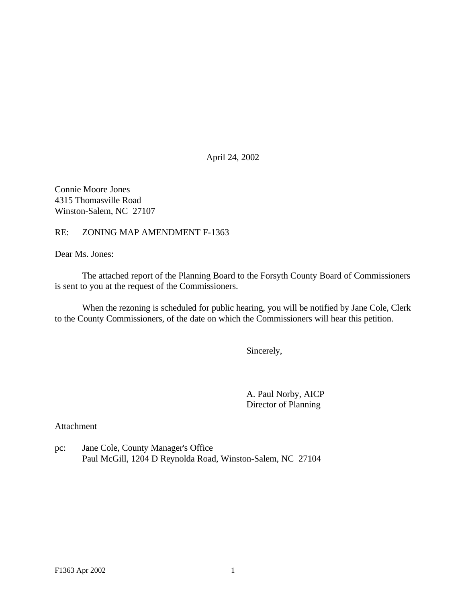April 24, 2002

Connie Moore Jones 4315 Thomasville Road Winston-Salem, NC 27107

RE: ZONING MAP AMENDMENT F-1363

Dear Ms. Jones:

The attached report of the Planning Board to the Forsyth County Board of Commissioners is sent to you at the request of the Commissioners.

When the rezoning is scheduled for public hearing, you will be notified by Jane Cole, Clerk to the County Commissioners, of the date on which the Commissioners will hear this petition.

Sincerely,

A. Paul Norby, AICP Director of Planning

Attachment

pc: Jane Cole, County Manager's Office Paul McGill, 1204 D Reynolda Road, Winston-Salem, NC 27104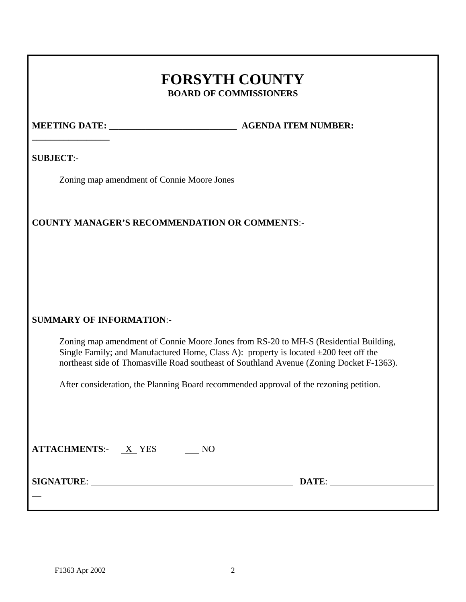# **FORSYTH COUNTY BOARD OF COMMISSIONERS**

# **\_\_\_\_\_\_\_\_\_\_\_\_\_\_\_\_\_**

**MEETING DATE: \_\_\_\_\_\_\_\_\_\_\_\_\_\_\_\_\_\_\_\_\_\_\_\_\_\_\_\_ AGENDA ITEM NUMBER:**

**SUBJECT**:-

Zoning map amendment of Connie Moore Jones

# **COUNTY MANAGER'S RECOMMENDATION OR COMMENTS**:-

# **SUMMARY OF INFORMATION**:-

Zoning map amendment of Connie Moore Jones from RS-20 to MH-S (Residential Building, Single Family; and Manufactured Home, Class A): property is located  $\pm 200$  feet off the northeast side of Thomasville Road southeast of Southland Avenue (Zoning Docket F-1363).

After consideration, the Planning Board recommended approval of the rezoning petition.

| <b>ATTACHMENTS:</b> X YES | NO |       |  |
|---------------------------|----|-------|--|
| <b>SIGNATURE:</b>         |    | DATE: |  |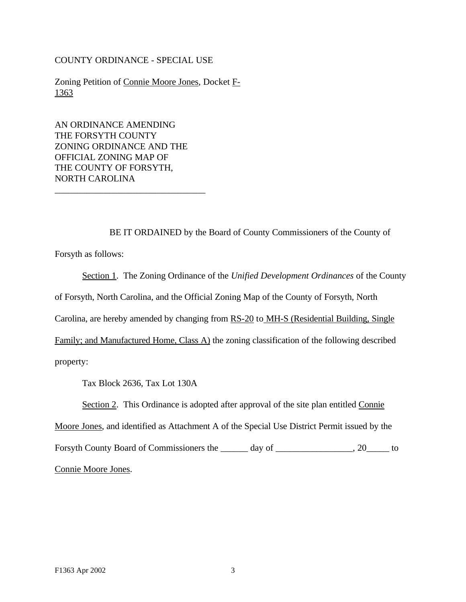COUNTY ORDINANCE - SPECIAL USE

Zoning Petition of Connie Moore Jones, Docket F-1363

AN ORDINANCE AMENDING THE FORSYTH COUNTY ZONING ORDINANCE AND THE OFFICIAL ZONING MAP OF THE COUNTY OF FORSYTH, NORTH CAROLINA

\_\_\_\_\_\_\_\_\_\_\_\_\_\_\_\_\_\_\_\_\_\_\_\_\_\_\_\_\_\_\_\_\_

BE IT ORDAINED by the Board of County Commissioners of the County of Forsyth as follows:

Section 1. The Zoning Ordinance of the *Unified Development Ordinances* of the County of Forsyth, North Carolina, and the Official Zoning Map of the County of Forsyth, North Carolina, are hereby amended by changing from RS-20 to MH-S (Residential Building, Single Family; and Manufactured Home, Class A) the zoning classification of the following described property:

Tax Block 2636, Tax Lot 130A

Section 2. This Ordinance is adopted after approval of the site plan entitled Connie

Moore Jones, and identified as Attachment A of the Special Use District Permit issued by the

Forsyth County Board of Commissioners the \_\_\_\_\_ day of \_\_\_\_\_\_\_\_\_\_\_\_\_\_, 20\_\_\_\_\_ to Connie Moore Jones.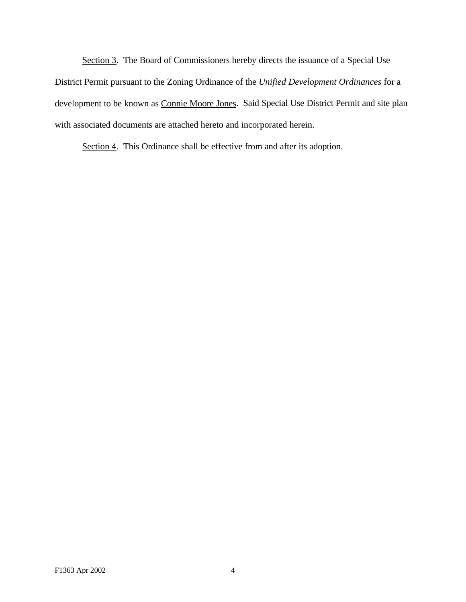Section 3. The Board of Commissioners hereby directs the issuance of a Special Use District Permit pursuant to the Zoning Ordinance of the *Unified Development Ordinances* for a development to be known as Connie Moore Jones. Said Special Use District Permit and site plan with associated documents are attached hereto and incorporated herein.

Section 4. This Ordinance shall be effective from and after its adoption.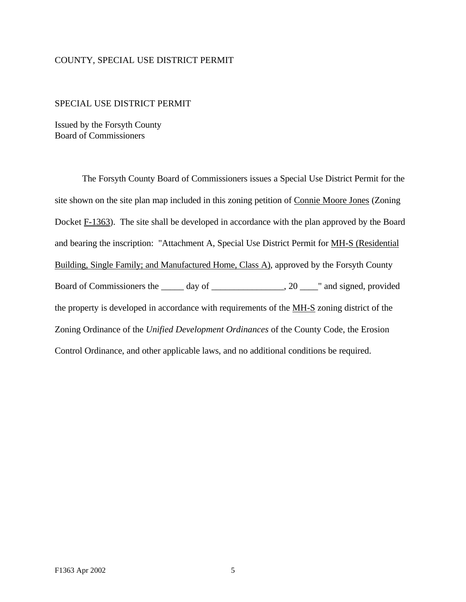#### COUNTY, SPECIAL USE DISTRICT PERMIT

#### SPECIAL USE DISTRICT PERMIT

Issued by the Forsyth County Board of Commissioners

The Forsyth County Board of Commissioners issues a Special Use District Permit for the site shown on the site plan map included in this zoning petition of Connie Moore Jones (Zoning Docket F-1363). The site shall be developed in accordance with the plan approved by the Board and bearing the inscription: "Attachment A, Special Use District Permit for MH-S (Residential Building, Single Family; and Manufactured Home, Class A), approved by the Forsyth County Board of Commissioners the \_\_\_\_\_ day of \_\_\_\_\_\_\_\_\_\_\_\_\_\_, 20 \_\_\_\_" and signed, provided the property is developed in accordance with requirements of the MH-S zoning district of the Zoning Ordinance of the *Unified Development Ordinances* of the County Code, the Erosion Control Ordinance, and other applicable laws, and no additional conditions be required.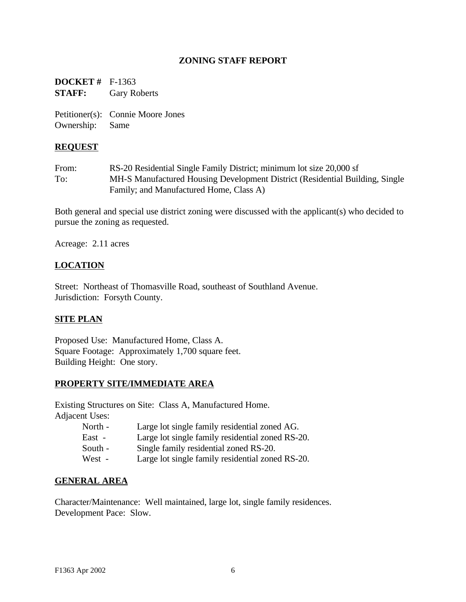# **ZONING STAFF REPORT**

**DOCKET #** F-1363 **STAFF:** Gary Roberts

Petitioner(s): Connie Moore Jones Ownership: Same

## **REQUEST**

From: RS-20 Residential Single Family District; minimum lot size 20,000 sf To: MH-S Manufactured Housing Development District (Residential Building, Single Family; and Manufactured Home, Class A)

Both general and special use district zoning were discussed with the applicant(s) who decided to pursue the zoning as requested.

Acreage: 2.11 acres

# **LOCATION**

Street: Northeast of Thomasville Road, southeast of Southland Avenue. Jurisdiction: Forsyth County.

### **SITE PLAN**

Proposed Use: Manufactured Home, Class A. Square Footage: Approximately 1,700 square feet. Building Height: One story.

### **PROPERTY SITE/IMMEDIATE AREA**

Existing Structures on Site: Class A, Manufactured Home.

Adjacent Uses:

- North Large lot single family residential zoned AG.
- East Large lot single family residential zoned RS-20.
- South Single family residential zoned RS-20.
- West Large lot single family residential zoned RS-20.

### **GENERAL AREA**

Character/Maintenance: Well maintained, large lot, single family residences. Development Pace: Slow.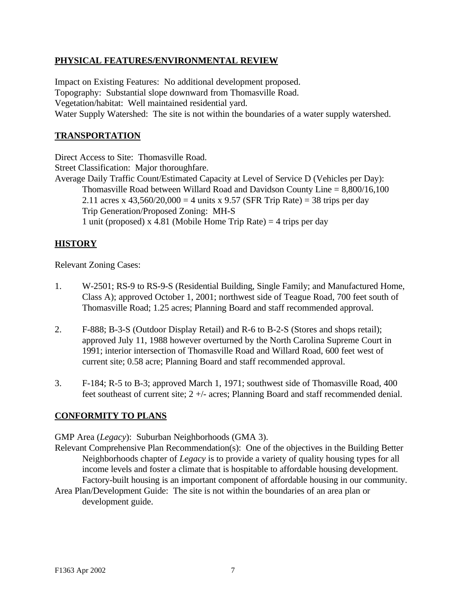# **PHYSICAL FEATURES/ENVIRONMENTAL REVIEW**

Impact on Existing Features: No additional development proposed. Topography: Substantial slope downward from Thomasville Road. Vegetation/habitat: Well maintained residential yard. Water Supply Watershed: The site is not within the boundaries of a water supply watershed.

### **TRANSPORTATION**

Direct Access to Site: Thomasville Road. Street Classification: Major thoroughfare. Average Daily Traffic Count/Estimated Capacity at Level of Service D (Vehicles per Day): Thomasville Road between Willard Road and Davidson County Line = 8,800/16,100 2.11 acres x  $43,560/20,000 = 4$  units x 9.57 (SFR Trip Rate) = 38 trips per day Trip Generation/Proposed Zoning: MH-S 1 unit (proposed) x 4.81 (Mobile Home Trip Rate)  $=$  4 trips per day

# **HISTORY**

Relevant Zoning Cases:

- 1. W-2501; RS-9 to RS-9-S (Residential Building, Single Family; and Manufactured Home, Class A); approved October 1, 2001; northwest side of Teague Road, 700 feet south of Thomasville Road; 1.25 acres; Planning Board and staff recommended approval.
- 2. F-888; B-3-S (Outdoor Display Retail) and R-6 to B-2-S (Stores and shops retail); approved July 11, 1988 however overturned by the North Carolina Supreme Court in 1991; interior intersection of Thomasville Road and Willard Road, 600 feet west of current site; 0.58 acre; Planning Board and staff recommended approval.
- 3. F-184; R-5 to B-3; approved March 1, 1971; southwest side of Thomasville Road, 400 feet southeast of current site; 2 +/- acres; Planning Board and staff recommended denial.

# **CONFORMITY TO PLANS**

GMP Area (*Legacy*): Suburban Neighborhoods (GMA 3).

Relevant Comprehensive Plan Recommendation(s): One of the objectives in the Building Better Neighborhoods chapter of *Legacy* is to provide a variety of quality housing types for all income levels and foster a climate that is hospitable to affordable housing development. Factory-built housing is an important component of affordable housing in our community. Area Plan/Development Guide: The site is not within the boundaries of an area plan or development guide.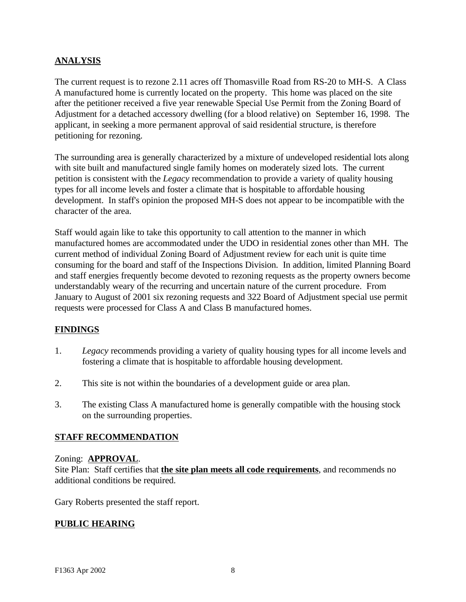# **ANALYSIS**

The current request is to rezone 2.11 acres off Thomasville Road from RS-20 to MH-S. A Class A manufactured home is currently located on the property. This home was placed on the site after the petitioner received a five year renewable Special Use Permit from the Zoning Board of Adjustment for a detached accessory dwelling (for a blood relative) on September 16, 1998. The applicant, in seeking a more permanent approval of said residential structure, is therefore petitioning for rezoning.

The surrounding area is generally characterized by a mixture of undeveloped residential lots along with site built and manufactured single family homes on moderately sized lots. The current petition is consistent with the *Legacy* recommendation to provide a variety of quality housing types for all income levels and foster a climate that is hospitable to affordable housing development. In staff's opinion the proposed MH-S does not appear to be incompatible with the character of the area.

Staff would again like to take this opportunity to call attention to the manner in which manufactured homes are accommodated under the UDO in residential zones other than MH. The current method of individual Zoning Board of Adjustment review for each unit is quite time consuming for the board and staff of the Inspections Division. In addition, limited Planning Board and staff energies frequently become devoted to rezoning requests as the property owners become understandably weary of the recurring and uncertain nature of the current procedure. From January to August of 2001 six rezoning requests and 322 Board of Adjustment special use permit requests were processed for Class A and Class B manufactured homes.

# **FINDINGS**

- 1. *Legacy* recommends providing a variety of quality housing types for all income levels and fostering a climate that is hospitable to affordable housing development.
- 2. This site is not within the boundaries of a development guide or area plan.
- 3. The existing Class A manufactured home is generally compatible with the housing stock on the surrounding properties.

### **STAFF RECOMMENDATION**

### Zoning: **APPROVAL**.

Site Plan: Staff certifies that **the site plan meets all code requirements**, and recommends no additional conditions be required.

Gary Roberts presented the staff report.

### **PUBLIC HEARING**